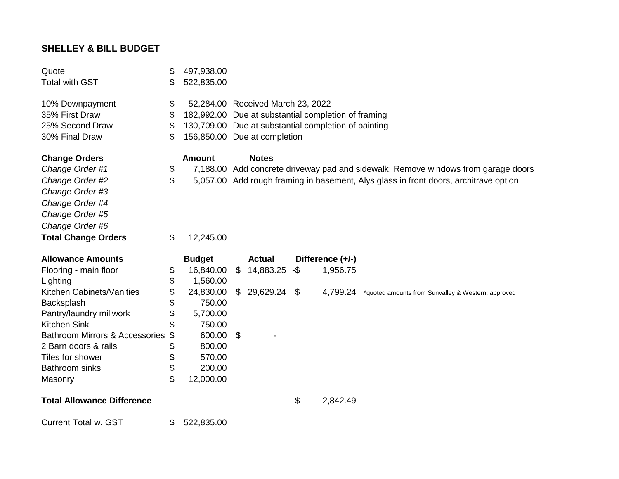## **SHELLEY & BILL BUDGET**

| Quote<br><b>Total with GST</b>            | \$<br>\$ | 497,938.00<br>522,835.00 |                                                                                          |               |     |                  |                                                                                      |
|-------------------------------------------|----------|--------------------------|------------------------------------------------------------------------------------------|---------------|-----|------------------|--------------------------------------------------------------------------------------|
| 10% Downpayment<br>35% First Draw         | \$<br>\$ |                          | 52,284.00 Received March 23, 2022<br>182,992.00 Due at substantial completion of framing |               |     |                  |                                                                                      |
| 25% Second Draw                           | \$       |                          | 130,709.00 Due at substantial completion of painting                                     |               |     |                  |                                                                                      |
| 30% Final Draw                            | \$       |                          | 156,850.00 Due at completion                                                             |               |     |                  |                                                                                      |
|                                           |          |                          |                                                                                          |               |     |                  |                                                                                      |
| <b>Change Orders</b>                      |          | <b>Amount</b>            |                                                                                          | <b>Notes</b>  |     |                  |                                                                                      |
| Change Order #1                           | \$       |                          |                                                                                          |               |     |                  | 7,188.00 Add concrete driveway pad and sidewalk; Remove windows from garage doors    |
| Change Order #2                           | \$       |                          |                                                                                          |               |     |                  | 5,057.00 Add rough framing in basement, Alys glass in front doors, architrave option |
| Change Order #3                           |          |                          |                                                                                          |               |     |                  |                                                                                      |
| Change Order #4                           |          |                          |                                                                                          |               |     |                  |                                                                                      |
| Change Order #5                           |          |                          |                                                                                          |               |     |                  |                                                                                      |
| Change Order #6                           |          |                          |                                                                                          |               |     |                  |                                                                                      |
| <b>Total Change Orders</b>                | \$       | 12,245.00                |                                                                                          |               |     |                  |                                                                                      |
|                                           |          |                          |                                                                                          |               |     |                  |                                                                                      |
| <b>Allowance Amounts</b>                  |          | <b>Budget</b>            |                                                                                          | <b>Actual</b> |     | Difference (+/-) |                                                                                      |
| Flooring - main floor                     | \$       | 16,840.00                | \$                                                                                       | 14,883.25     | -\$ | 1,956.75         |                                                                                      |
| Lighting                                  | \$       | 1,560.00                 |                                                                                          |               |     |                  |                                                                                      |
| Kitchen Cabinets/Vanities                 | \$       | 24,830.00                | $\mathbb{S}$                                                                             | 29,629.24 \$  |     | 4,799.24         | *quoted amounts from Sunvalley & Western; approved                                   |
| Backsplash                                | \$       | 750.00                   |                                                                                          |               |     |                  |                                                                                      |
| Pantry/laundry millwork                   | \$       | 5,700.00                 |                                                                                          |               |     |                  |                                                                                      |
| <b>Kitchen Sink</b>                       | \$       | 750.00                   |                                                                                          |               |     |                  |                                                                                      |
| <b>Bathroom Mirrors &amp; Accessories</b> | \$       | 600.00                   | \$                                                                                       |               |     |                  |                                                                                      |
| 2 Barn doors & rails                      | \$       | 800.00                   |                                                                                          |               |     |                  |                                                                                      |
| Tiles for shower                          | \$       | 570.00                   |                                                                                          |               |     |                  |                                                                                      |
| <b>Bathroom sinks</b>                     | \$       | 200.00                   |                                                                                          |               |     |                  |                                                                                      |
| Masonry                                   | \$       | 12,000.00                |                                                                                          |               |     |                  |                                                                                      |
| <b>Total Allowance Difference</b>         |          |                          |                                                                                          |               | \$  | 2,842.49         |                                                                                      |
| <b>Current Total w. GST</b>               | \$       | 522,835.00               |                                                                                          |               |     |                  |                                                                                      |